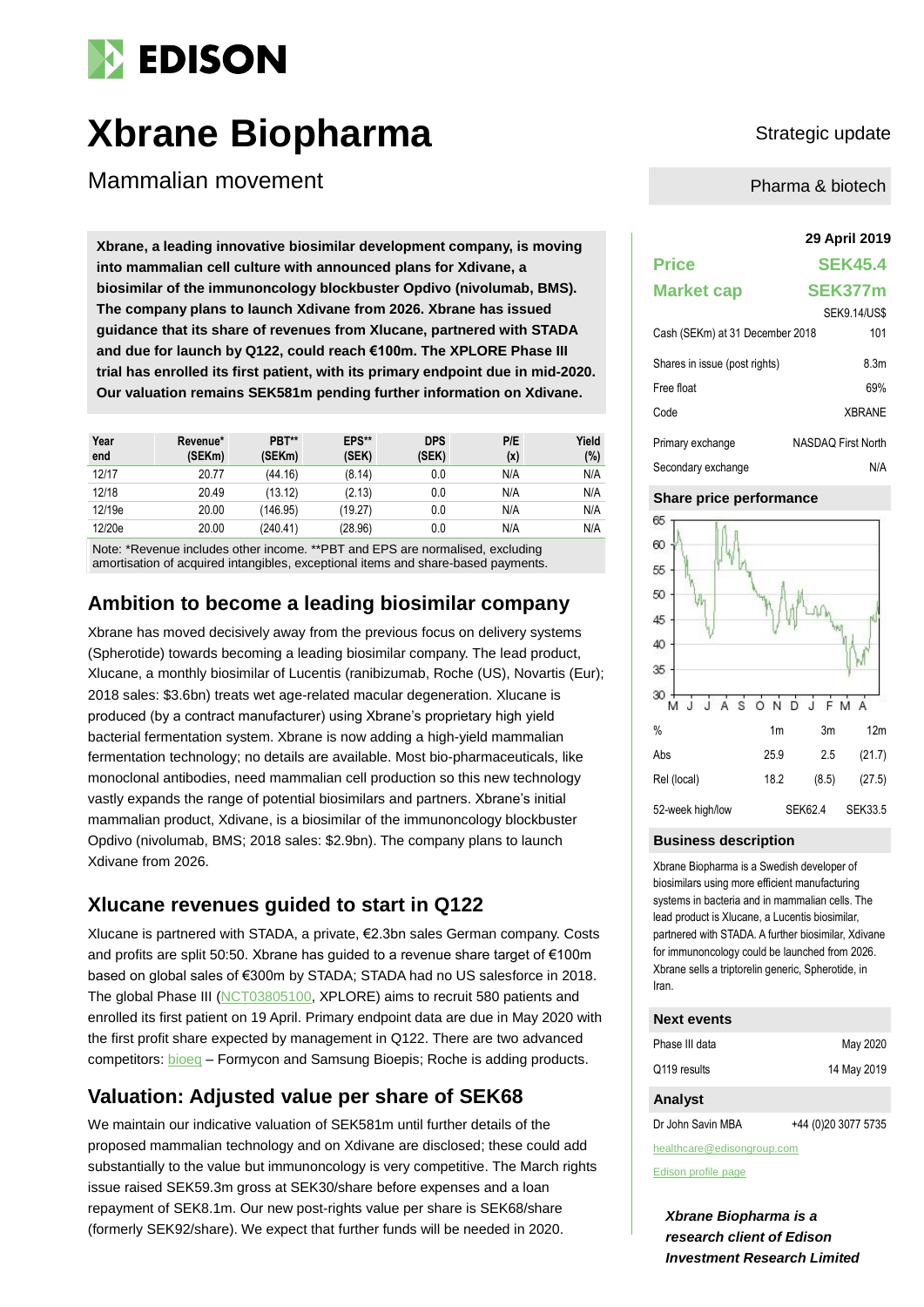# **EDISON**

# **Xbrane Biopharma** Strategic update

Mammalian movement

**29 April 2019 Xbrane, a leading innovative biosimilar development company, is moving into mammalian cell culture with announced plans for Xdivane, a biosimilar of the immunoncology blockbuster Opdivo (nivolumab, BMS). The company plans to launch Xdivane from 2026. Xbrane has issued guidance that its share of revenues from Xlucane, partnered with STADA and due for launch by Q122, could reach €100m. The XPLORE Phase III trial has enrolled its first patient, with its primary endpoint due in mid-2020. Our valuation remains SEK581m pending further information on Xdivane.**

| Year<br>end | Revenue*<br>(SEKm) | PBT**<br>(SEKm) | EPS**<br>(SEK) | <b>DPS</b><br>(SEK) | P/E<br>(x) | Yield<br>(%) |
|-------------|--------------------|-----------------|----------------|---------------------|------------|--------------|
| 12/17       | 20.77              | (44.16)         | (8.14)         | 0.0                 | N/A        | N/A          |
| 12/18       | 20.49              | (13.12)         | (2.13)         | 0.0                 | N/A        | N/A          |
| 12/19e      | 20.00              | (146.95)        | (19.27)        | 0.0                 | N/A        | N/A          |
| 12/20e      | 20.00              | (240.41)        | (28.96)        | 0.0                 | N/A        | N/A          |

Note: \*Revenue includes other income. \*\*PBT and EPS are normalised, excluding amortisation of acquired intangibles, exceptional items and share-based payments.

# **Ambition to become a leading biosimilar company**

Xbrane has moved decisively away from the previous focus on delivery systems (Spherotide) towards becoming a leading biosimilar company. The lead product, Xlucane, a monthly biosimilar of Lucentis (ranibizumab, Roche (US), Novartis (Eur); 2018 sales: \$3.6bn) treats wet age-related macular degeneration. Xlucane is produced (by a contract manufacturer) using Xbrane's proprietary high yield bacterial fermentation system. Xbrane is now adding a high-yield mammalian fermentation technology; no details are available. Most bio-pharmaceuticals, like monoclonal antibodies, need mammalian cell production so this new technology vastly expands the range of potential biosimilars and partners. Xbrane's initial mammalian product, Xdivane, is a biosimilar of the immunoncology blockbuster Opdivo (nivolumab, BMS; 2018 sales: \$2.9bn). The company plans to launch Xdivane from 2026.

# **Xlucane revenues guided to start in Q122**

Xlucane is partnered with STADA, a private, €2.3bn sales German company. Costs and profits are split 50:50. Xbrane has guided to a revenue share target of €100m based on global sales of €300m by STADA; STADA had no US salesforce in 2018. The global Phase III [\(NCT03805100,](https://clinicaltrials.gov/ct2/show/NCT03805100) XPLORE) aims to recruit 580 patients and enrolled its first patient on 19 April. Primary endpoint data are due in May 2020 with the first profit share expected by management in Q122. There are two advanced competitors: [bioeq](http://bioeq.com/) – Formycon and Samsung Bioepis; Roche is adding products.

# **Valuation: Adjusted value per share of SEK68**

We maintain our indicative valuation of SEK581m until further details of the proposed mammalian technology and on Xdivane are disclosed; these could add substantially to the value but immunoncology is very competitive. The March rights issue raised SEK59.3m gross at SEK30/share before expenses and a loan repayment of SEK8.1m. Our new post-rights value per share is SEK68/share (formerly SEK92/share). We expect that further funds will be needed in 2020.

Pharma & biotech

# **Price SEK45.4 Market cap SEK377m** SEK9.14/US\$ Cash (SEKm) at 31 December 2018 101 Shares in issue (post rights) 8.3m Free float 69% Code XBRANE Primary exchange NASDAQ First North Secondary exchange N/A

### **Share price performance**



### **Business description**

Xbrane Biopharma is a Swedish developer of biosimilars using more efficient manufacturing systems in bacteria and in mammalian cells. The lead product is Xlucane, a Lucentis biosimilar, partnered with STADA. A further biosimilar, Xdivane for immunoncology could be launched from 2026. Xbrane sells a triptorelin generic, Spherotide, in Iran.

#### **Next events**

| Phase III data | May 2020    |
|----------------|-------------|
| Q119 results   | 14 May 2019 |

#### **Analyst**

Dr John Savin MBA +44 (0)20 3077 5735

healthcare@edisongroup.com [Edison profile page](https://www.edisongroup.com/company/xbrane-biopharma/2509)

*Xbrane Biopharma is a research client of Edison Investment Research Limited*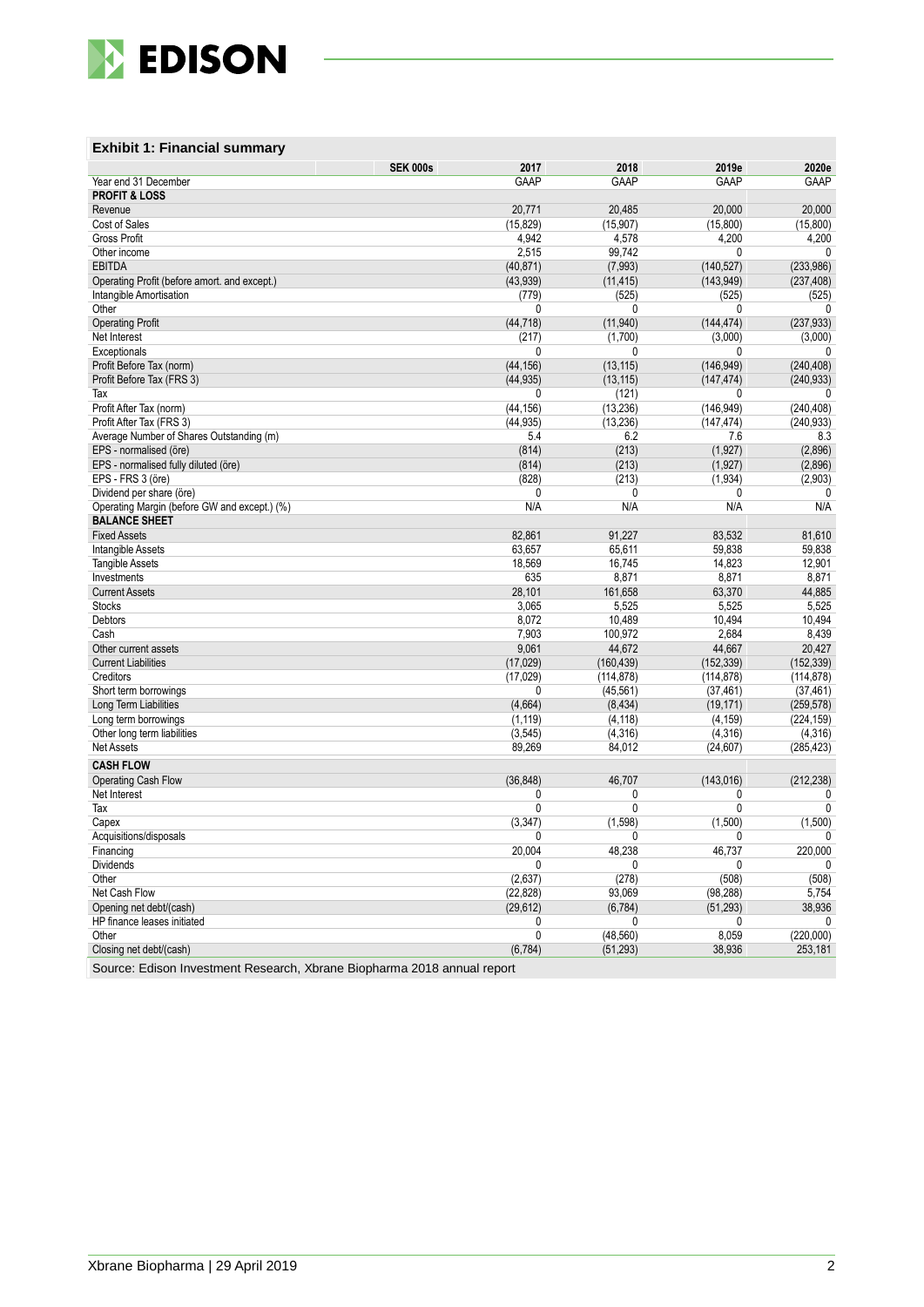

## **Exhibit 1: Financial summary**

| <b>PROFIT &amp; LOSS</b><br>20,771<br>20,000<br>20,000<br>Revenue<br>20,485<br>Cost of Sales<br>(15, 829)<br>(15, 907)<br>(15,800)<br>(15,800)<br><b>Gross Profit</b><br>4,942<br>4,200<br>4,200<br>4,578<br>Other income<br>2,515<br>99,742<br>0<br>$\mathbf{0}$<br><b>EBITDA</b><br>(40, 871)<br>(7,993)<br>(140, 527)<br>(233, 986)<br>Operating Profit (before amort. and except.)<br>(143, 949)<br>(237, 408)<br>(43, 939)<br>(11, 415)<br>Intangible Amortisation<br>(779)<br>(525)<br>(525)<br>(525)<br>Other<br>0<br>0<br>0<br>0<br>(44, 718)<br>(11, 940)<br>(144, 474)<br>(237, 933)<br><b>Operating Profit</b><br>(1,700)<br>Net Interest<br>(217)<br>(3,000)<br>(3,000)<br>Exceptionals<br>0<br>0<br>0<br>0<br>Profit Before Tax (norm)<br>(44, 156)<br>(13, 115)<br>(146, 949)<br>(240, 408)<br>Profit Before Tax (FRS 3)<br>(44, 935)<br>(13, 115)<br>(147, 474)<br>(240, 933)<br>0<br>(121)<br>0<br>Tax<br>0<br>(13, 236)<br>Profit After Tax (norm)<br>(44, 156)<br>(146, 949)<br>(240, 408)<br>(44, 935)<br>(240, 933)<br>Profit After Tax (FRS 3)<br>(13, 236)<br>(147, 474)<br>Average Number of Shares Outstanding (m)<br>5.4<br>6.2<br>8.3<br>7.6<br>(213)<br>(1, 927)<br>(2,896)<br>EPS - normalised (öre)<br>(814)<br>EPS - normalised fully diluted (öre)<br>(814)<br>(213)<br>(1, 927)<br>(2,896)<br>EPS - FRS 3 (öre)<br>(828)<br>(213)<br>(1,934)<br>(2,903)<br>Dividend per share (öre)<br>0<br>0<br>0<br>$\mathbf{0}$<br>N/A<br>N/A<br>N/A<br>N/A<br>Operating Margin (before GW and except.) (%)<br><b>BALANCE SHEET</b><br>82,861<br>91,227<br>83,532<br><b>Fixed Assets</b><br>81,610<br>Intangible Assets<br>63,657<br>65,611<br>59,838<br>59.838<br><b>Tangible Assets</b><br>18,569<br>16,745<br>14,823<br>12,901<br>635<br>8,871<br>8,871<br>8,871<br>Investments<br><b>Current Assets</b><br>28,101<br>161,658<br>63,370<br>44,885<br><b>Stocks</b><br>3,065<br>5,525<br>5,525<br>5,525<br>10,494<br><b>Debtors</b><br>8,072<br>10,489<br>10,494<br>8,439<br>Cash<br>7,903<br>100,972<br>2,684<br>44,672<br>Other current assets<br>9,061<br>44,667<br>20,427<br>(17, 029)<br>(152, 339)<br>(152, 339)<br><b>Current Liabilities</b><br>(160, 439)<br>Creditors<br>(17, 029)<br>(114, 878)<br>(114, 878)<br>(114, 878)<br>Short term borrowings<br>0<br>(45, 561)<br>(37, 461)<br>(37, 461)<br>Long Term Liabilities<br>(4,664)<br>(19, 171)<br>(259, 578)<br>(8, 434)<br>(224, 159)<br>Long term borrowings<br>(1, 119)<br>(4, 118)<br>(4, 159)<br>(4, 316)<br>(4, 316)<br>(4,316)<br>Other long term liabilities<br>(3, 545)<br>Net Assets<br>89,269<br>84,012<br>(24, 607)<br>(285, 423)<br><b>CASH FLOW</b><br>(36, 848)<br>46,707<br>(143, 016)<br>(212, 238)<br>Operating Cash Flow<br>Net Interest<br>0<br>0<br>0<br>0<br>$\overline{0}$<br>$\overline{0}$<br>0<br>$\pmb{0}$<br>Tax<br>(1,598)<br>Capex<br>(3, 347)<br>(1,500)<br>(1,500)<br>Acquisitions/disposals<br>0<br>$\mathbf{0}$<br>0<br>0<br>220,000<br>20,004<br>48,238<br>46,737<br>Financing<br><b>Dividends</b><br>0<br>0<br>0<br>0<br>(2,637)<br>(278)<br>(508)<br>(508)<br>Other<br>(98, 288)<br>Net Cash Flow<br>(22, 828)<br>93,069<br>5,754<br>(29, 612)<br>(51, 293)<br>38,936<br>Opening net debt/(cash)<br>(6,784)<br>HP finance leases initiated<br>0<br>0<br>0<br>0<br>0<br>(220,000)<br>Other<br>(48, 560)<br>8,059<br>Closing net debt/(cash)<br>(6, 784)<br>(51, 293)<br>38,936<br>253,181 |                      | <b>SEK 000s</b><br>2017 | 2018 | 2019e | 2020e |
|------------------------------------------------------------------------------------------------------------------------------------------------------------------------------------------------------------------------------------------------------------------------------------------------------------------------------------------------------------------------------------------------------------------------------------------------------------------------------------------------------------------------------------------------------------------------------------------------------------------------------------------------------------------------------------------------------------------------------------------------------------------------------------------------------------------------------------------------------------------------------------------------------------------------------------------------------------------------------------------------------------------------------------------------------------------------------------------------------------------------------------------------------------------------------------------------------------------------------------------------------------------------------------------------------------------------------------------------------------------------------------------------------------------------------------------------------------------------------------------------------------------------------------------------------------------------------------------------------------------------------------------------------------------------------------------------------------------------------------------------------------------------------------------------------------------------------------------------------------------------------------------------------------------------------------------------------------------------------------------------------------------------------------------------------------------------------------------------------------------------------------------------------------------------------------------------------------------------------------------------------------------------------------------------------------------------------------------------------------------------------------------------------------------------------------------------------------------------------------------------------------------------------------------------------------------------------------------------------------------------------------------------------------------------------------------------------------------------------------------------------------------------------------------------------------------------------------------------------------------------------------------------------------------------------------------------------------------------------------------------------------------------------------------------------------------------------------------------------------------------------------------------------------------------------------------------------------------------------------------------------------------------------------------------------------------------------------------------------------------------------------------------------------------|----------------------|-------------------------|------|-------|-------|
|                                                                                                                                                                                                                                                                                                                                                                                                                                                                                                                                                                                                                                                                                                                                                                                                                                                                                                                                                                                                                                                                                                                                                                                                                                                                                                                                                                                                                                                                                                                                                                                                                                                                                                                                                                                                                                                                                                                                                                                                                                                                                                                                                                                                                                                                                                                                                                                                                                                                                                                                                                                                                                                                                                                                                                                                                                                                                                                                                                                                                                                                                                                                                                                                                                                                                                                                                                                                                  | Year end 31 December | GAAP                    | GAAP | GAAP  | GAAP  |
|                                                                                                                                                                                                                                                                                                                                                                                                                                                                                                                                                                                                                                                                                                                                                                                                                                                                                                                                                                                                                                                                                                                                                                                                                                                                                                                                                                                                                                                                                                                                                                                                                                                                                                                                                                                                                                                                                                                                                                                                                                                                                                                                                                                                                                                                                                                                                                                                                                                                                                                                                                                                                                                                                                                                                                                                                                                                                                                                                                                                                                                                                                                                                                                                                                                                                                                                                                                                                  |                      |                         |      |       |       |
|                                                                                                                                                                                                                                                                                                                                                                                                                                                                                                                                                                                                                                                                                                                                                                                                                                                                                                                                                                                                                                                                                                                                                                                                                                                                                                                                                                                                                                                                                                                                                                                                                                                                                                                                                                                                                                                                                                                                                                                                                                                                                                                                                                                                                                                                                                                                                                                                                                                                                                                                                                                                                                                                                                                                                                                                                                                                                                                                                                                                                                                                                                                                                                                                                                                                                                                                                                                                                  |                      |                         |      |       |       |
|                                                                                                                                                                                                                                                                                                                                                                                                                                                                                                                                                                                                                                                                                                                                                                                                                                                                                                                                                                                                                                                                                                                                                                                                                                                                                                                                                                                                                                                                                                                                                                                                                                                                                                                                                                                                                                                                                                                                                                                                                                                                                                                                                                                                                                                                                                                                                                                                                                                                                                                                                                                                                                                                                                                                                                                                                                                                                                                                                                                                                                                                                                                                                                                                                                                                                                                                                                                                                  |                      |                         |      |       |       |
|                                                                                                                                                                                                                                                                                                                                                                                                                                                                                                                                                                                                                                                                                                                                                                                                                                                                                                                                                                                                                                                                                                                                                                                                                                                                                                                                                                                                                                                                                                                                                                                                                                                                                                                                                                                                                                                                                                                                                                                                                                                                                                                                                                                                                                                                                                                                                                                                                                                                                                                                                                                                                                                                                                                                                                                                                                                                                                                                                                                                                                                                                                                                                                                                                                                                                                                                                                                                                  |                      |                         |      |       |       |
|                                                                                                                                                                                                                                                                                                                                                                                                                                                                                                                                                                                                                                                                                                                                                                                                                                                                                                                                                                                                                                                                                                                                                                                                                                                                                                                                                                                                                                                                                                                                                                                                                                                                                                                                                                                                                                                                                                                                                                                                                                                                                                                                                                                                                                                                                                                                                                                                                                                                                                                                                                                                                                                                                                                                                                                                                                                                                                                                                                                                                                                                                                                                                                                                                                                                                                                                                                                                                  |                      |                         |      |       |       |
|                                                                                                                                                                                                                                                                                                                                                                                                                                                                                                                                                                                                                                                                                                                                                                                                                                                                                                                                                                                                                                                                                                                                                                                                                                                                                                                                                                                                                                                                                                                                                                                                                                                                                                                                                                                                                                                                                                                                                                                                                                                                                                                                                                                                                                                                                                                                                                                                                                                                                                                                                                                                                                                                                                                                                                                                                                                                                                                                                                                                                                                                                                                                                                                                                                                                                                                                                                                                                  |                      |                         |      |       |       |
|                                                                                                                                                                                                                                                                                                                                                                                                                                                                                                                                                                                                                                                                                                                                                                                                                                                                                                                                                                                                                                                                                                                                                                                                                                                                                                                                                                                                                                                                                                                                                                                                                                                                                                                                                                                                                                                                                                                                                                                                                                                                                                                                                                                                                                                                                                                                                                                                                                                                                                                                                                                                                                                                                                                                                                                                                                                                                                                                                                                                                                                                                                                                                                                                                                                                                                                                                                                                                  |                      |                         |      |       |       |
|                                                                                                                                                                                                                                                                                                                                                                                                                                                                                                                                                                                                                                                                                                                                                                                                                                                                                                                                                                                                                                                                                                                                                                                                                                                                                                                                                                                                                                                                                                                                                                                                                                                                                                                                                                                                                                                                                                                                                                                                                                                                                                                                                                                                                                                                                                                                                                                                                                                                                                                                                                                                                                                                                                                                                                                                                                                                                                                                                                                                                                                                                                                                                                                                                                                                                                                                                                                                                  |                      |                         |      |       |       |
|                                                                                                                                                                                                                                                                                                                                                                                                                                                                                                                                                                                                                                                                                                                                                                                                                                                                                                                                                                                                                                                                                                                                                                                                                                                                                                                                                                                                                                                                                                                                                                                                                                                                                                                                                                                                                                                                                                                                                                                                                                                                                                                                                                                                                                                                                                                                                                                                                                                                                                                                                                                                                                                                                                                                                                                                                                                                                                                                                                                                                                                                                                                                                                                                                                                                                                                                                                                                                  |                      |                         |      |       |       |
|                                                                                                                                                                                                                                                                                                                                                                                                                                                                                                                                                                                                                                                                                                                                                                                                                                                                                                                                                                                                                                                                                                                                                                                                                                                                                                                                                                                                                                                                                                                                                                                                                                                                                                                                                                                                                                                                                                                                                                                                                                                                                                                                                                                                                                                                                                                                                                                                                                                                                                                                                                                                                                                                                                                                                                                                                                                                                                                                                                                                                                                                                                                                                                                                                                                                                                                                                                                                                  |                      |                         |      |       |       |
|                                                                                                                                                                                                                                                                                                                                                                                                                                                                                                                                                                                                                                                                                                                                                                                                                                                                                                                                                                                                                                                                                                                                                                                                                                                                                                                                                                                                                                                                                                                                                                                                                                                                                                                                                                                                                                                                                                                                                                                                                                                                                                                                                                                                                                                                                                                                                                                                                                                                                                                                                                                                                                                                                                                                                                                                                                                                                                                                                                                                                                                                                                                                                                                                                                                                                                                                                                                                                  |                      |                         |      |       |       |
|                                                                                                                                                                                                                                                                                                                                                                                                                                                                                                                                                                                                                                                                                                                                                                                                                                                                                                                                                                                                                                                                                                                                                                                                                                                                                                                                                                                                                                                                                                                                                                                                                                                                                                                                                                                                                                                                                                                                                                                                                                                                                                                                                                                                                                                                                                                                                                                                                                                                                                                                                                                                                                                                                                                                                                                                                                                                                                                                                                                                                                                                                                                                                                                                                                                                                                                                                                                                                  |                      |                         |      |       |       |
|                                                                                                                                                                                                                                                                                                                                                                                                                                                                                                                                                                                                                                                                                                                                                                                                                                                                                                                                                                                                                                                                                                                                                                                                                                                                                                                                                                                                                                                                                                                                                                                                                                                                                                                                                                                                                                                                                                                                                                                                                                                                                                                                                                                                                                                                                                                                                                                                                                                                                                                                                                                                                                                                                                                                                                                                                                                                                                                                                                                                                                                                                                                                                                                                                                                                                                                                                                                                                  |                      |                         |      |       |       |
|                                                                                                                                                                                                                                                                                                                                                                                                                                                                                                                                                                                                                                                                                                                                                                                                                                                                                                                                                                                                                                                                                                                                                                                                                                                                                                                                                                                                                                                                                                                                                                                                                                                                                                                                                                                                                                                                                                                                                                                                                                                                                                                                                                                                                                                                                                                                                                                                                                                                                                                                                                                                                                                                                                                                                                                                                                                                                                                                                                                                                                                                                                                                                                                                                                                                                                                                                                                                                  |                      |                         |      |       |       |
|                                                                                                                                                                                                                                                                                                                                                                                                                                                                                                                                                                                                                                                                                                                                                                                                                                                                                                                                                                                                                                                                                                                                                                                                                                                                                                                                                                                                                                                                                                                                                                                                                                                                                                                                                                                                                                                                                                                                                                                                                                                                                                                                                                                                                                                                                                                                                                                                                                                                                                                                                                                                                                                                                                                                                                                                                                                                                                                                                                                                                                                                                                                                                                                                                                                                                                                                                                                                                  |                      |                         |      |       |       |
|                                                                                                                                                                                                                                                                                                                                                                                                                                                                                                                                                                                                                                                                                                                                                                                                                                                                                                                                                                                                                                                                                                                                                                                                                                                                                                                                                                                                                                                                                                                                                                                                                                                                                                                                                                                                                                                                                                                                                                                                                                                                                                                                                                                                                                                                                                                                                                                                                                                                                                                                                                                                                                                                                                                                                                                                                                                                                                                                                                                                                                                                                                                                                                                                                                                                                                                                                                                                                  |                      |                         |      |       |       |
|                                                                                                                                                                                                                                                                                                                                                                                                                                                                                                                                                                                                                                                                                                                                                                                                                                                                                                                                                                                                                                                                                                                                                                                                                                                                                                                                                                                                                                                                                                                                                                                                                                                                                                                                                                                                                                                                                                                                                                                                                                                                                                                                                                                                                                                                                                                                                                                                                                                                                                                                                                                                                                                                                                                                                                                                                                                                                                                                                                                                                                                                                                                                                                                                                                                                                                                                                                                                                  |                      |                         |      |       |       |
|                                                                                                                                                                                                                                                                                                                                                                                                                                                                                                                                                                                                                                                                                                                                                                                                                                                                                                                                                                                                                                                                                                                                                                                                                                                                                                                                                                                                                                                                                                                                                                                                                                                                                                                                                                                                                                                                                                                                                                                                                                                                                                                                                                                                                                                                                                                                                                                                                                                                                                                                                                                                                                                                                                                                                                                                                                                                                                                                                                                                                                                                                                                                                                                                                                                                                                                                                                                                                  |                      |                         |      |       |       |
|                                                                                                                                                                                                                                                                                                                                                                                                                                                                                                                                                                                                                                                                                                                                                                                                                                                                                                                                                                                                                                                                                                                                                                                                                                                                                                                                                                                                                                                                                                                                                                                                                                                                                                                                                                                                                                                                                                                                                                                                                                                                                                                                                                                                                                                                                                                                                                                                                                                                                                                                                                                                                                                                                                                                                                                                                                                                                                                                                                                                                                                                                                                                                                                                                                                                                                                                                                                                                  |                      |                         |      |       |       |
|                                                                                                                                                                                                                                                                                                                                                                                                                                                                                                                                                                                                                                                                                                                                                                                                                                                                                                                                                                                                                                                                                                                                                                                                                                                                                                                                                                                                                                                                                                                                                                                                                                                                                                                                                                                                                                                                                                                                                                                                                                                                                                                                                                                                                                                                                                                                                                                                                                                                                                                                                                                                                                                                                                                                                                                                                                                                                                                                                                                                                                                                                                                                                                                                                                                                                                                                                                                                                  |                      |                         |      |       |       |
|                                                                                                                                                                                                                                                                                                                                                                                                                                                                                                                                                                                                                                                                                                                                                                                                                                                                                                                                                                                                                                                                                                                                                                                                                                                                                                                                                                                                                                                                                                                                                                                                                                                                                                                                                                                                                                                                                                                                                                                                                                                                                                                                                                                                                                                                                                                                                                                                                                                                                                                                                                                                                                                                                                                                                                                                                                                                                                                                                                                                                                                                                                                                                                                                                                                                                                                                                                                                                  |                      |                         |      |       |       |
|                                                                                                                                                                                                                                                                                                                                                                                                                                                                                                                                                                                                                                                                                                                                                                                                                                                                                                                                                                                                                                                                                                                                                                                                                                                                                                                                                                                                                                                                                                                                                                                                                                                                                                                                                                                                                                                                                                                                                                                                                                                                                                                                                                                                                                                                                                                                                                                                                                                                                                                                                                                                                                                                                                                                                                                                                                                                                                                                                                                                                                                                                                                                                                                                                                                                                                                                                                                                                  |                      |                         |      |       |       |
|                                                                                                                                                                                                                                                                                                                                                                                                                                                                                                                                                                                                                                                                                                                                                                                                                                                                                                                                                                                                                                                                                                                                                                                                                                                                                                                                                                                                                                                                                                                                                                                                                                                                                                                                                                                                                                                                                                                                                                                                                                                                                                                                                                                                                                                                                                                                                                                                                                                                                                                                                                                                                                                                                                                                                                                                                                                                                                                                                                                                                                                                                                                                                                                                                                                                                                                                                                                                                  |                      |                         |      |       |       |
|                                                                                                                                                                                                                                                                                                                                                                                                                                                                                                                                                                                                                                                                                                                                                                                                                                                                                                                                                                                                                                                                                                                                                                                                                                                                                                                                                                                                                                                                                                                                                                                                                                                                                                                                                                                                                                                                                                                                                                                                                                                                                                                                                                                                                                                                                                                                                                                                                                                                                                                                                                                                                                                                                                                                                                                                                                                                                                                                                                                                                                                                                                                                                                                                                                                                                                                                                                                                                  |                      |                         |      |       |       |
|                                                                                                                                                                                                                                                                                                                                                                                                                                                                                                                                                                                                                                                                                                                                                                                                                                                                                                                                                                                                                                                                                                                                                                                                                                                                                                                                                                                                                                                                                                                                                                                                                                                                                                                                                                                                                                                                                                                                                                                                                                                                                                                                                                                                                                                                                                                                                                                                                                                                                                                                                                                                                                                                                                                                                                                                                                                                                                                                                                                                                                                                                                                                                                                                                                                                                                                                                                                                                  |                      |                         |      |       |       |
|                                                                                                                                                                                                                                                                                                                                                                                                                                                                                                                                                                                                                                                                                                                                                                                                                                                                                                                                                                                                                                                                                                                                                                                                                                                                                                                                                                                                                                                                                                                                                                                                                                                                                                                                                                                                                                                                                                                                                                                                                                                                                                                                                                                                                                                                                                                                                                                                                                                                                                                                                                                                                                                                                                                                                                                                                                                                                                                                                                                                                                                                                                                                                                                                                                                                                                                                                                                                                  |                      |                         |      |       |       |
|                                                                                                                                                                                                                                                                                                                                                                                                                                                                                                                                                                                                                                                                                                                                                                                                                                                                                                                                                                                                                                                                                                                                                                                                                                                                                                                                                                                                                                                                                                                                                                                                                                                                                                                                                                                                                                                                                                                                                                                                                                                                                                                                                                                                                                                                                                                                                                                                                                                                                                                                                                                                                                                                                                                                                                                                                                                                                                                                                                                                                                                                                                                                                                                                                                                                                                                                                                                                                  |                      |                         |      |       |       |
|                                                                                                                                                                                                                                                                                                                                                                                                                                                                                                                                                                                                                                                                                                                                                                                                                                                                                                                                                                                                                                                                                                                                                                                                                                                                                                                                                                                                                                                                                                                                                                                                                                                                                                                                                                                                                                                                                                                                                                                                                                                                                                                                                                                                                                                                                                                                                                                                                                                                                                                                                                                                                                                                                                                                                                                                                                                                                                                                                                                                                                                                                                                                                                                                                                                                                                                                                                                                                  |                      |                         |      |       |       |
|                                                                                                                                                                                                                                                                                                                                                                                                                                                                                                                                                                                                                                                                                                                                                                                                                                                                                                                                                                                                                                                                                                                                                                                                                                                                                                                                                                                                                                                                                                                                                                                                                                                                                                                                                                                                                                                                                                                                                                                                                                                                                                                                                                                                                                                                                                                                                                                                                                                                                                                                                                                                                                                                                                                                                                                                                                                                                                                                                                                                                                                                                                                                                                                                                                                                                                                                                                                                                  |                      |                         |      |       |       |
|                                                                                                                                                                                                                                                                                                                                                                                                                                                                                                                                                                                                                                                                                                                                                                                                                                                                                                                                                                                                                                                                                                                                                                                                                                                                                                                                                                                                                                                                                                                                                                                                                                                                                                                                                                                                                                                                                                                                                                                                                                                                                                                                                                                                                                                                                                                                                                                                                                                                                                                                                                                                                                                                                                                                                                                                                                                                                                                                                                                                                                                                                                                                                                                                                                                                                                                                                                                                                  |                      |                         |      |       |       |
|                                                                                                                                                                                                                                                                                                                                                                                                                                                                                                                                                                                                                                                                                                                                                                                                                                                                                                                                                                                                                                                                                                                                                                                                                                                                                                                                                                                                                                                                                                                                                                                                                                                                                                                                                                                                                                                                                                                                                                                                                                                                                                                                                                                                                                                                                                                                                                                                                                                                                                                                                                                                                                                                                                                                                                                                                                                                                                                                                                                                                                                                                                                                                                                                                                                                                                                                                                                                                  |                      |                         |      |       |       |
|                                                                                                                                                                                                                                                                                                                                                                                                                                                                                                                                                                                                                                                                                                                                                                                                                                                                                                                                                                                                                                                                                                                                                                                                                                                                                                                                                                                                                                                                                                                                                                                                                                                                                                                                                                                                                                                                                                                                                                                                                                                                                                                                                                                                                                                                                                                                                                                                                                                                                                                                                                                                                                                                                                                                                                                                                                                                                                                                                                                                                                                                                                                                                                                                                                                                                                                                                                                                                  |                      |                         |      |       |       |
|                                                                                                                                                                                                                                                                                                                                                                                                                                                                                                                                                                                                                                                                                                                                                                                                                                                                                                                                                                                                                                                                                                                                                                                                                                                                                                                                                                                                                                                                                                                                                                                                                                                                                                                                                                                                                                                                                                                                                                                                                                                                                                                                                                                                                                                                                                                                                                                                                                                                                                                                                                                                                                                                                                                                                                                                                                                                                                                                                                                                                                                                                                                                                                                                                                                                                                                                                                                                                  |                      |                         |      |       |       |
|                                                                                                                                                                                                                                                                                                                                                                                                                                                                                                                                                                                                                                                                                                                                                                                                                                                                                                                                                                                                                                                                                                                                                                                                                                                                                                                                                                                                                                                                                                                                                                                                                                                                                                                                                                                                                                                                                                                                                                                                                                                                                                                                                                                                                                                                                                                                                                                                                                                                                                                                                                                                                                                                                                                                                                                                                                                                                                                                                                                                                                                                                                                                                                                                                                                                                                                                                                                                                  |                      |                         |      |       |       |
|                                                                                                                                                                                                                                                                                                                                                                                                                                                                                                                                                                                                                                                                                                                                                                                                                                                                                                                                                                                                                                                                                                                                                                                                                                                                                                                                                                                                                                                                                                                                                                                                                                                                                                                                                                                                                                                                                                                                                                                                                                                                                                                                                                                                                                                                                                                                                                                                                                                                                                                                                                                                                                                                                                                                                                                                                                                                                                                                                                                                                                                                                                                                                                                                                                                                                                                                                                                                                  |                      |                         |      |       |       |
|                                                                                                                                                                                                                                                                                                                                                                                                                                                                                                                                                                                                                                                                                                                                                                                                                                                                                                                                                                                                                                                                                                                                                                                                                                                                                                                                                                                                                                                                                                                                                                                                                                                                                                                                                                                                                                                                                                                                                                                                                                                                                                                                                                                                                                                                                                                                                                                                                                                                                                                                                                                                                                                                                                                                                                                                                                                                                                                                                                                                                                                                                                                                                                                                                                                                                                                                                                                                                  |                      |                         |      |       |       |
|                                                                                                                                                                                                                                                                                                                                                                                                                                                                                                                                                                                                                                                                                                                                                                                                                                                                                                                                                                                                                                                                                                                                                                                                                                                                                                                                                                                                                                                                                                                                                                                                                                                                                                                                                                                                                                                                                                                                                                                                                                                                                                                                                                                                                                                                                                                                                                                                                                                                                                                                                                                                                                                                                                                                                                                                                                                                                                                                                                                                                                                                                                                                                                                                                                                                                                                                                                                                                  |                      |                         |      |       |       |
|                                                                                                                                                                                                                                                                                                                                                                                                                                                                                                                                                                                                                                                                                                                                                                                                                                                                                                                                                                                                                                                                                                                                                                                                                                                                                                                                                                                                                                                                                                                                                                                                                                                                                                                                                                                                                                                                                                                                                                                                                                                                                                                                                                                                                                                                                                                                                                                                                                                                                                                                                                                                                                                                                                                                                                                                                                                                                                                                                                                                                                                                                                                                                                                                                                                                                                                                                                                                                  |                      |                         |      |       |       |
|                                                                                                                                                                                                                                                                                                                                                                                                                                                                                                                                                                                                                                                                                                                                                                                                                                                                                                                                                                                                                                                                                                                                                                                                                                                                                                                                                                                                                                                                                                                                                                                                                                                                                                                                                                                                                                                                                                                                                                                                                                                                                                                                                                                                                                                                                                                                                                                                                                                                                                                                                                                                                                                                                                                                                                                                                                                                                                                                                                                                                                                                                                                                                                                                                                                                                                                                                                                                                  |                      |                         |      |       |       |
|                                                                                                                                                                                                                                                                                                                                                                                                                                                                                                                                                                                                                                                                                                                                                                                                                                                                                                                                                                                                                                                                                                                                                                                                                                                                                                                                                                                                                                                                                                                                                                                                                                                                                                                                                                                                                                                                                                                                                                                                                                                                                                                                                                                                                                                                                                                                                                                                                                                                                                                                                                                                                                                                                                                                                                                                                                                                                                                                                                                                                                                                                                                                                                                                                                                                                                                                                                                                                  |                      |                         |      |       |       |
|                                                                                                                                                                                                                                                                                                                                                                                                                                                                                                                                                                                                                                                                                                                                                                                                                                                                                                                                                                                                                                                                                                                                                                                                                                                                                                                                                                                                                                                                                                                                                                                                                                                                                                                                                                                                                                                                                                                                                                                                                                                                                                                                                                                                                                                                                                                                                                                                                                                                                                                                                                                                                                                                                                                                                                                                                                                                                                                                                                                                                                                                                                                                                                                                                                                                                                                                                                                                                  |                      |                         |      |       |       |
|                                                                                                                                                                                                                                                                                                                                                                                                                                                                                                                                                                                                                                                                                                                                                                                                                                                                                                                                                                                                                                                                                                                                                                                                                                                                                                                                                                                                                                                                                                                                                                                                                                                                                                                                                                                                                                                                                                                                                                                                                                                                                                                                                                                                                                                                                                                                                                                                                                                                                                                                                                                                                                                                                                                                                                                                                                                                                                                                                                                                                                                                                                                                                                                                                                                                                                                                                                                                                  |                      |                         |      |       |       |
|                                                                                                                                                                                                                                                                                                                                                                                                                                                                                                                                                                                                                                                                                                                                                                                                                                                                                                                                                                                                                                                                                                                                                                                                                                                                                                                                                                                                                                                                                                                                                                                                                                                                                                                                                                                                                                                                                                                                                                                                                                                                                                                                                                                                                                                                                                                                                                                                                                                                                                                                                                                                                                                                                                                                                                                                                                                                                                                                                                                                                                                                                                                                                                                                                                                                                                                                                                                                                  |                      |                         |      |       |       |
|                                                                                                                                                                                                                                                                                                                                                                                                                                                                                                                                                                                                                                                                                                                                                                                                                                                                                                                                                                                                                                                                                                                                                                                                                                                                                                                                                                                                                                                                                                                                                                                                                                                                                                                                                                                                                                                                                                                                                                                                                                                                                                                                                                                                                                                                                                                                                                                                                                                                                                                                                                                                                                                                                                                                                                                                                                                                                                                                                                                                                                                                                                                                                                                                                                                                                                                                                                                                                  |                      |                         |      |       |       |
|                                                                                                                                                                                                                                                                                                                                                                                                                                                                                                                                                                                                                                                                                                                                                                                                                                                                                                                                                                                                                                                                                                                                                                                                                                                                                                                                                                                                                                                                                                                                                                                                                                                                                                                                                                                                                                                                                                                                                                                                                                                                                                                                                                                                                                                                                                                                                                                                                                                                                                                                                                                                                                                                                                                                                                                                                                                                                                                                                                                                                                                                                                                                                                                                                                                                                                                                                                                                                  |                      |                         |      |       |       |
|                                                                                                                                                                                                                                                                                                                                                                                                                                                                                                                                                                                                                                                                                                                                                                                                                                                                                                                                                                                                                                                                                                                                                                                                                                                                                                                                                                                                                                                                                                                                                                                                                                                                                                                                                                                                                                                                                                                                                                                                                                                                                                                                                                                                                                                                                                                                                                                                                                                                                                                                                                                                                                                                                                                                                                                                                                                                                                                                                                                                                                                                                                                                                                                                                                                                                                                                                                                                                  |                      |                         |      |       |       |
|                                                                                                                                                                                                                                                                                                                                                                                                                                                                                                                                                                                                                                                                                                                                                                                                                                                                                                                                                                                                                                                                                                                                                                                                                                                                                                                                                                                                                                                                                                                                                                                                                                                                                                                                                                                                                                                                                                                                                                                                                                                                                                                                                                                                                                                                                                                                                                                                                                                                                                                                                                                                                                                                                                                                                                                                                                                                                                                                                                                                                                                                                                                                                                                                                                                                                                                                                                                                                  |                      |                         |      |       |       |
|                                                                                                                                                                                                                                                                                                                                                                                                                                                                                                                                                                                                                                                                                                                                                                                                                                                                                                                                                                                                                                                                                                                                                                                                                                                                                                                                                                                                                                                                                                                                                                                                                                                                                                                                                                                                                                                                                                                                                                                                                                                                                                                                                                                                                                                                                                                                                                                                                                                                                                                                                                                                                                                                                                                                                                                                                                                                                                                                                                                                                                                                                                                                                                                                                                                                                                                                                                                                                  |                      |                         |      |       |       |
|                                                                                                                                                                                                                                                                                                                                                                                                                                                                                                                                                                                                                                                                                                                                                                                                                                                                                                                                                                                                                                                                                                                                                                                                                                                                                                                                                                                                                                                                                                                                                                                                                                                                                                                                                                                                                                                                                                                                                                                                                                                                                                                                                                                                                                                                                                                                                                                                                                                                                                                                                                                                                                                                                                                                                                                                                                                                                                                                                                                                                                                                                                                                                                                                                                                                                                                                                                                                                  |                      |                         |      |       |       |
|                                                                                                                                                                                                                                                                                                                                                                                                                                                                                                                                                                                                                                                                                                                                                                                                                                                                                                                                                                                                                                                                                                                                                                                                                                                                                                                                                                                                                                                                                                                                                                                                                                                                                                                                                                                                                                                                                                                                                                                                                                                                                                                                                                                                                                                                                                                                                                                                                                                                                                                                                                                                                                                                                                                                                                                                                                                                                                                                                                                                                                                                                                                                                                                                                                                                                                                                                                                                                  |                      |                         |      |       |       |
|                                                                                                                                                                                                                                                                                                                                                                                                                                                                                                                                                                                                                                                                                                                                                                                                                                                                                                                                                                                                                                                                                                                                                                                                                                                                                                                                                                                                                                                                                                                                                                                                                                                                                                                                                                                                                                                                                                                                                                                                                                                                                                                                                                                                                                                                                                                                                                                                                                                                                                                                                                                                                                                                                                                                                                                                                                                                                                                                                                                                                                                                                                                                                                                                                                                                                                                                                                                                                  |                      |                         |      |       |       |
|                                                                                                                                                                                                                                                                                                                                                                                                                                                                                                                                                                                                                                                                                                                                                                                                                                                                                                                                                                                                                                                                                                                                                                                                                                                                                                                                                                                                                                                                                                                                                                                                                                                                                                                                                                                                                                                                                                                                                                                                                                                                                                                                                                                                                                                                                                                                                                                                                                                                                                                                                                                                                                                                                                                                                                                                                                                                                                                                                                                                                                                                                                                                                                                                                                                                                                                                                                                                                  |                      |                         |      |       |       |
|                                                                                                                                                                                                                                                                                                                                                                                                                                                                                                                                                                                                                                                                                                                                                                                                                                                                                                                                                                                                                                                                                                                                                                                                                                                                                                                                                                                                                                                                                                                                                                                                                                                                                                                                                                                                                                                                                                                                                                                                                                                                                                                                                                                                                                                                                                                                                                                                                                                                                                                                                                                                                                                                                                                                                                                                                                                                                                                                                                                                                                                                                                                                                                                                                                                                                                                                                                                                                  |                      |                         |      |       |       |
|                                                                                                                                                                                                                                                                                                                                                                                                                                                                                                                                                                                                                                                                                                                                                                                                                                                                                                                                                                                                                                                                                                                                                                                                                                                                                                                                                                                                                                                                                                                                                                                                                                                                                                                                                                                                                                                                                                                                                                                                                                                                                                                                                                                                                                                                                                                                                                                                                                                                                                                                                                                                                                                                                                                                                                                                                                                                                                                                                                                                                                                                                                                                                                                                                                                                                                                                                                                                                  |                      |                         |      |       |       |
| $Q_1$ and $Q_2$ and $Q_3$ and $Q_4$ and $Q_5$ and $Q_6$                                                                                                                                                                                                                                                                                                                                                                                                                                                                                                                                                                                                                                                                                                                                                                                                                                                                                                                                                                                                                                                                                                                                                                                                                                                                                                                                                                                                                                                                                                                                                                                                                                                                                                                                                                                                                                                                                                                                                                                                                                                                                                                                                                                                                                                                                                                                                                                                                                                                                                                                                                                                                                                                                                                                                                                                                                                                                                                                                                                                                                                                                                                                                                                                                                                                                                                                                          |                      |                         |      |       |       |

Source: Edison Investment Research, Xbrane Biopharma 2018 annual report